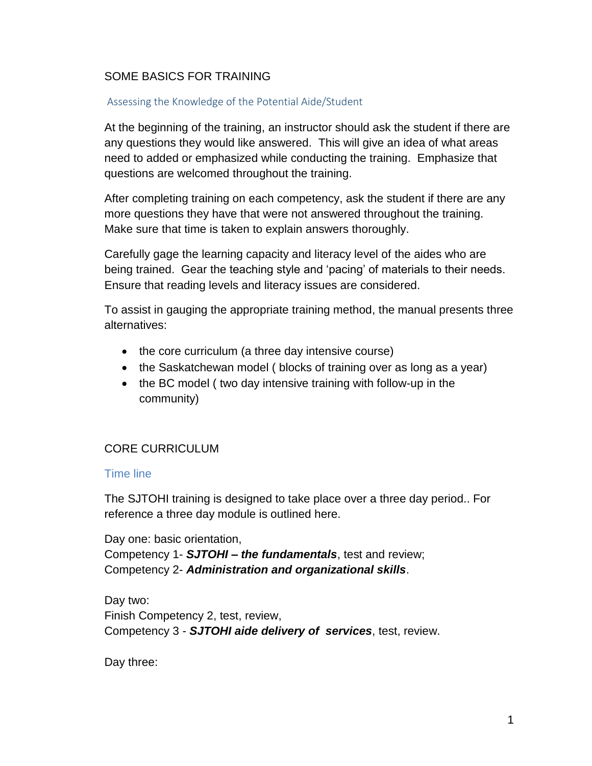## SOME BASICS FOR TRAINING

#### Assessing the Knowledge of the Potential Aide/Student

At the beginning of the training, an instructor should ask the student if there are any questions they would like answered. This will give an idea of what areas need to added or emphasized while conducting the training. Emphasize that questions are welcomed throughout the training.

After completing training on each competency, ask the student if there are any more questions they have that were not answered throughout the training. Make sure that time is taken to explain answers thoroughly.

Carefully gage the learning capacity and literacy level of the aides who are being trained. Gear the teaching style and 'pacing' of materials to their needs. Ensure that reading levels and literacy issues are considered.

To assist in gauging the appropriate training method, the manual presents three alternatives:

- the core curriculum (a three day intensive course)
- the Saskatchewan model ( blocks of training over as long as a year)
- the BC model ( two day intensive training with follow-up in the community)

## CORE CURRICULUM

#### Time line

The SJTOHI training is designed to take place over a three day period.. For reference a three day module is outlined here.

Day one: basic orientation, Competency 1- *SJTOHI – the fundamentals*, test and review; Competency 2- *Administration and organizational skills*.

Day two: Finish Competency 2, test, review, Competency 3 - *SJTOHI aide delivery of services*, test, review.

Day three: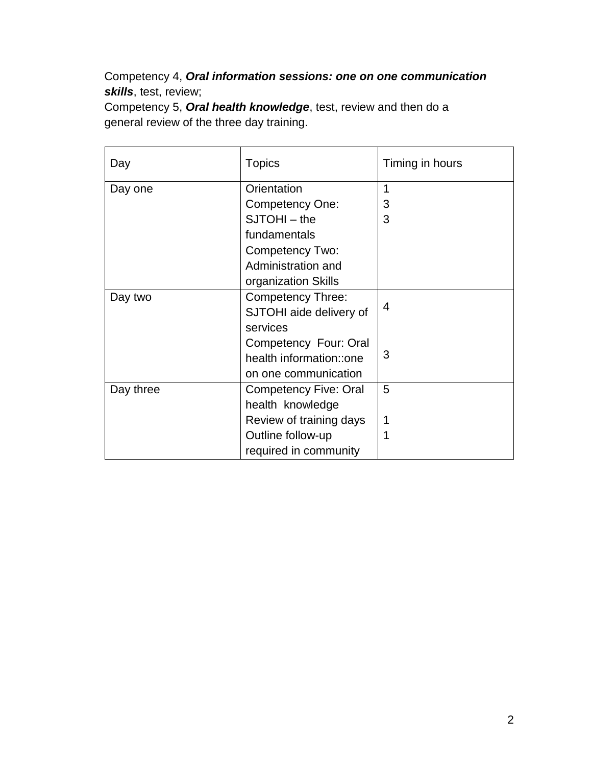Competency 4, *Oral information sessions: one on one communication skills*, test, review;

Competency 5, *Oral health knowledge*, test, review and then do a general review of the three day training.

| Day       | <b>Topics</b>            | Timing in hours |
|-----------|--------------------------|-----------------|
| Day one   | Orientation              | 1               |
|           | Competency One:          | 3               |
|           | $SJTOHI - the$           | 3               |
|           | fundamentals             |                 |
|           | <b>Competency Two:</b>   |                 |
|           | Administration and       |                 |
|           | organization Skills      |                 |
| Day two   | <b>Competency Three:</b> |                 |
|           | SJTOHI aide delivery of  | 4               |
|           | services                 |                 |
|           | Competency Four: Oral    |                 |
|           | health information::one  | 3               |
|           | on one communication     |                 |
| Day three | Competency Five: Oral    | 5               |
|           | health knowledge         |                 |
|           | Review of training days  | 1               |
|           | Outline follow-up        |                 |
|           | required in community    |                 |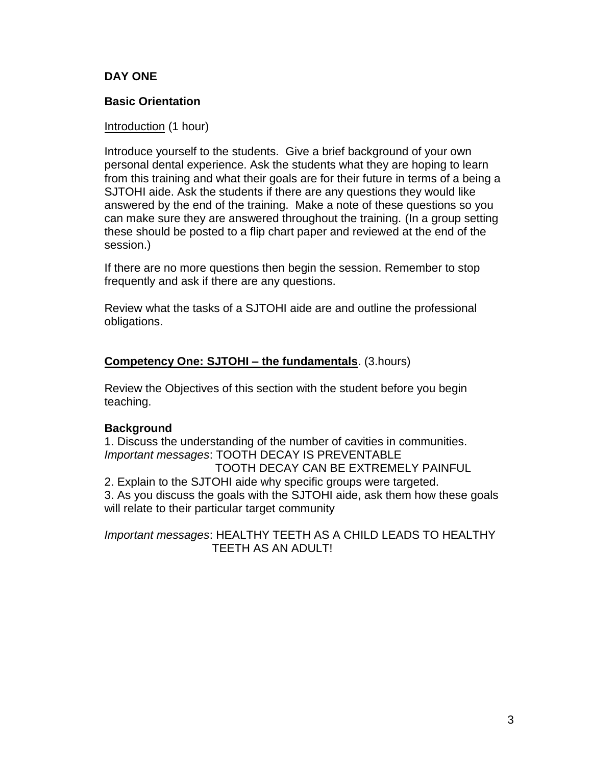### **DAY ONE**

### **Basic Orientation**

#### Introduction (1 hour)

Introduce yourself to the students. Give a brief background of your own personal dental experience. Ask the students what they are hoping to learn from this training and what their goals are for their future in terms of a being a SJTOHI aide. Ask the students if there are any questions they would like answered by the end of the training. Make a note of these questions so you can make sure they are answered throughout the training. (In a group setting these should be posted to a flip chart paper and reviewed at the end of the session.)

If there are no more questions then begin the session. Remember to stop frequently and ask if there are any questions.

Review what the tasks of a SJTOHI aide are and outline the professional obligations.

#### **Competency One: SJTOHI – the fundamentals**. (3.hours)

Review the Objectives of this section with the student before you begin teaching.

#### **Background**

1. Discuss the understanding of the number of cavities in communities. *Important messages*: TOOTH DECAY IS PREVENTABLE TOOTH DECAY CAN BE EXTREMELY PAINFUL 2. Explain to the SJTOHI aide why specific groups were targeted. 3. As you discuss the goals with the SJTOHI aide, ask them how these goals will relate to their particular target community

*Important messages*: HEALTHY TEETH AS A CHILD LEADS TO HEALTHY TEETH AS AN ADULT!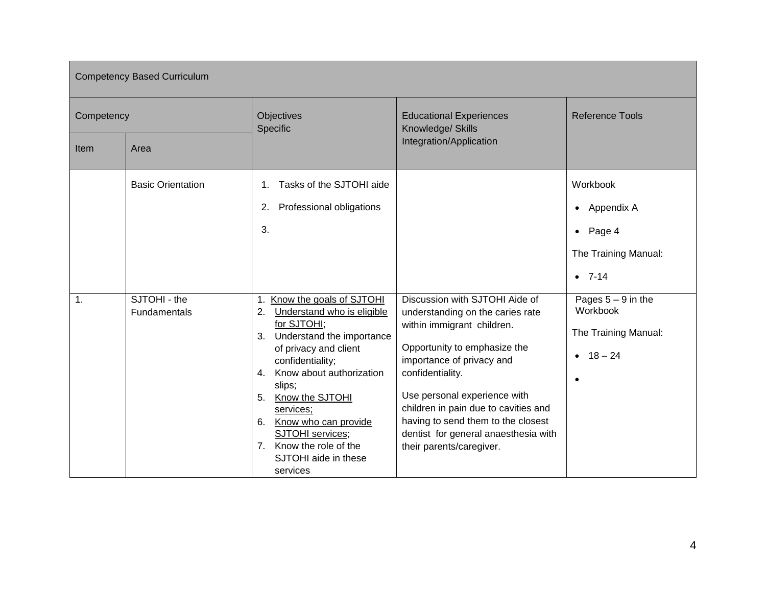| <b>Competency Based Curriculum</b> |                                          |                                                                                                                                                                                                                                                                                                                                                                                          |                                                                                                                                                                                                                                                                                                                                   |                                                                                               |
|------------------------------------|------------------------------------------|------------------------------------------------------------------------------------------------------------------------------------------------------------------------------------------------------------------------------------------------------------------------------------------------------------------------------------------------------------------------------------------|-----------------------------------------------------------------------------------------------------------------------------------------------------------------------------------------------------------------------------------------------------------------------------------------------------------------------------------|-----------------------------------------------------------------------------------------------|
| Competency                         |                                          | Objectives<br>Specific                                                                                                                                                                                                                                                                                                                                                                   | <b>Educational Experiences</b><br>Knowledge/ Skills                                                                                                                                                                                                                                                                               | <b>Reference Tools</b>                                                                        |
| Item                               | Area                                     |                                                                                                                                                                                                                                                                                                                                                                                          | Integration/Application                                                                                                                                                                                                                                                                                                           |                                                                                               |
|                                    | <b>Basic Orientation</b><br>SJTOHI - the | Tasks of the SJTOHI aide<br>1 <sub>1</sub><br>Professional obligations<br>2.<br>3.                                                                                                                                                                                                                                                                                                       | Discussion with SJTOHI Aide of                                                                                                                                                                                                                                                                                                    | Workbook<br>Appendix A<br>$\bullet$<br>Page 4<br>$\bullet$<br>The Training Manual:<br>$-7-14$ |
| $\mathbf{1}$ .                     | Fundamentals                             | Know the goals of SJTOHI<br>$\mathbf 1$ .<br>Understand who is eligible<br>2.<br>for SJTOHI;<br>Understand the importance<br>3.<br>of privacy and client<br>confidentiality;<br>Know about authorization<br>$4_{-}$<br>slips;<br>Know the SJTOHI<br>5.<br>services;<br>6. Know who can provide<br><b>SJTOHI</b> services;<br>7. Know the role of the<br>SJTOHI aide in these<br>services | understanding on the caries rate<br>within immigrant children.<br>Opportunity to emphasize the<br>importance of privacy and<br>confidentiality.<br>Use personal experience with<br>children in pain due to cavities and<br>having to send them to the closest<br>dentist for general anaesthesia with<br>their parents/caregiver. | Pages $5 - 9$ in the<br>Workbook<br>The Training Manual:<br>• $18 - 24$                       |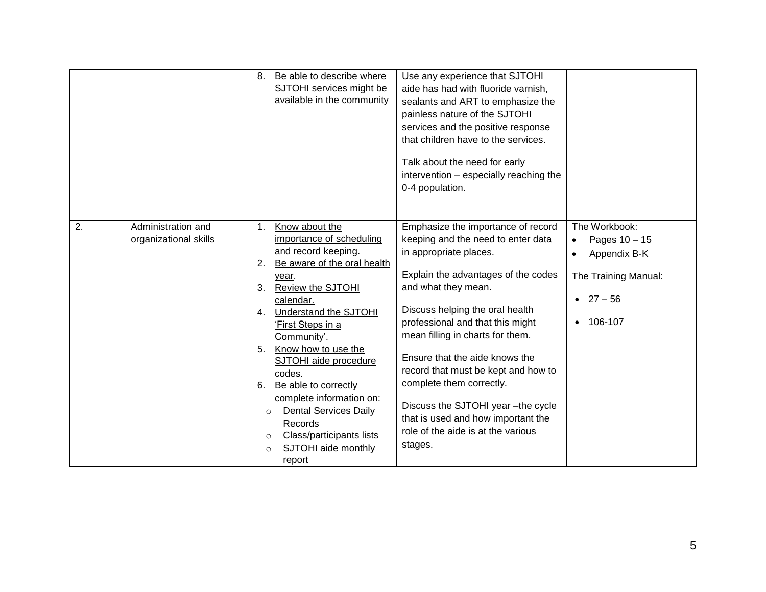|                                                   | Be able to describe where<br>8.<br>Use any experience that SJTOHI<br>SJTOHI services might be<br>aide has had with fluoride varnish,<br>available in the community<br>sealants and ART to emphasize the<br>painless nature of the SJTOHI<br>services and the positive response<br>that children have to the services.<br>Talk about the need for early<br>intervention - especially reaching the<br>0-4 population.                                                                                                                                                                                                                                                                                                                                                                                                                                                                                                                                                                                                                                                                                                                       |  |
|---------------------------------------------------|-------------------------------------------------------------------------------------------------------------------------------------------------------------------------------------------------------------------------------------------------------------------------------------------------------------------------------------------------------------------------------------------------------------------------------------------------------------------------------------------------------------------------------------------------------------------------------------------------------------------------------------------------------------------------------------------------------------------------------------------------------------------------------------------------------------------------------------------------------------------------------------------------------------------------------------------------------------------------------------------------------------------------------------------------------------------------------------------------------------------------------------------|--|
| 2.<br>Administration and<br>organizational skills | The Workbook:<br>Know about the<br>Emphasize the importance of record<br>1.<br>importance of scheduling<br>keeping and the need to enter data<br>Pages 10 - 15<br>٠<br>and record keeping.<br>in appropriate places.<br>Appendix B-K<br>Be aware of the oral health<br>2.<br>Explain the advantages of the codes<br>The Training Manual:<br>year.<br>and what they mean.<br>3.<br>Review the SJTOHI<br>• $27 - 56$<br>calendar.<br>Discuss helping the oral health<br>Understand the SJTOHI<br>4 <sup>1</sup><br>professional and that this might<br>106-107<br>'First Steps in a<br>mean filling in charts for them.<br>Community'.<br>Know how to use the<br>5.<br>Ensure that the aide knows the<br>SJTOHI aide procedure<br>record that must be kept and how to<br>codes.<br>complete them correctly.<br>Be able to correctly<br>6.<br>complete information on:<br>Discuss the SJTOHI year -the cycle<br><b>Dental Services Daily</b><br>$\circ$<br>that is used and how important the<br>Records<br>role of the aide is at the various<br>Class/participants lists<br>$\circ$<br>stages.<br>SJTOHI aide monthly<br>$\circ$<br>report |  |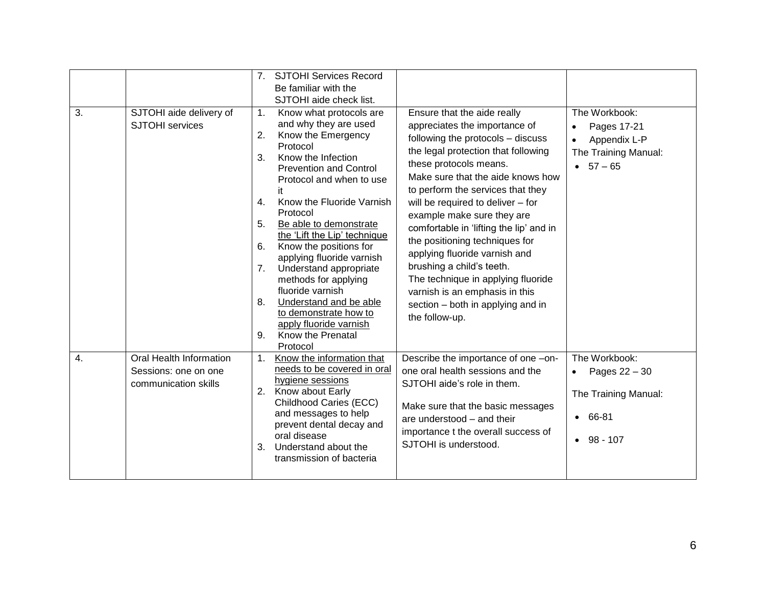|                  |                                                                         | 7 <sub>1</sub>                                                             | <b>SJTOHI Services Record</b><br>Be familiar with the                                                                                                                                                                                                                                                                                                                                                                                                                                                                                                |                                                                                                                                                                                                                                                                                                                                                                                                                                                                                                                                                                                           |                                                                                                                    |
|------------------|-------------------------------------------------------------------------|----------------------------------------------------------------------------|------------------------------------------------------------------------------------------------------------------------------------------------------------------------------------------------------------------------------------------------------------------------------------------------------------------------------------------------------------------------------------------------------------------------------------------------------------------------------------------------------------------------------------------------------|-------------------------------------------------------------------------------------------------------------------------------------------------------------------------------------------------------------------------------------------------------------------------------------------------------------------------------------------------------------------------------------------------------------------------------------------------------------------------------------------------------------------------------------------------------------------------------------------|--------------------------------------------------------------------------------------------------------------------|
| 3.               | SJTOHI aide delivery of<br><b>SJTOHI</b> services                       | $\mathbf{1}$ .<br>2.<br>3.<br>$\mathbf{4}$ .<br>5.<br>6.<br>7.<br>8.<br>9. | SJTOHI aide check list.<br>Know what protocols are<br>and why they are used<br>Know the Emergency<br>Protocol<br>Know the Infection<br><b>Prevention and Control</b><br>Protocol and when to use<br>it<br>Know the Fluoride Varnish<br>Protocol<br>Be able to demonstrate<br>the 'Lift the Lip' technique<br>Know the positions for<br>applying fluoride varnish<br>Understand appropriate<br>methods for applying<br>fluoride varnish<br>Understand and be able<br>to demonstrate how to<br>apply fluoride varnish<br>Know the Prenatal<br>Protocol | Ensure that the aide really<br>appreciates the importance of<br>following the protocols - discuss<br>the legal protection that following<br>these protocols means.<br>Make sure that the aide knows how<br>to perform the services that they<br>will be required to deliver - for<br>example make sure they are<br>comfortable in 'lifting the lip' and in<br>the positioning techniques for<br>applying fluoride varnish and<br>brushing a child's teeth.<br>The technique in applying fluoride<br>varnish is an emphasis in this<br>section - both in applying and in<br>the follow-up. | The Workbook:<br>Pages 17-21<br>$\bullet$<br>Appendix L-P<br>$\bullet$<br>The Training Manual:<br>$57 - 65$        |
| $\overline{4}$ . | Oral Health Information<br>Sessions: one on one<br>communication skills | 1.<br>2.<br>3.                                                             | Know the information that<br>needs to be covered in oral<br>hygiene sessions<br>Know about Early<br>Childhood Caries (ECC)<br>and messages to help<br>prevent dental decay and<br>oral disease<br>Understand about the<br>transmission of bacteria                                                                                                                                                                                                                                                                                                   | Describe the importance of one -on-<br>one oral health sessions and the<br>SJTOHI aide's role in them.<br>Make sure that the basic messages<br>are understood – and their<br>importance t the overall success of<br>SJTOHI is understood.                                                                                                                                                                                                                                                                                                                                                 | The Workbook:<br>Pages 22 - 30<br>$\bullet$<br>The Training Manual:<br>66-81<br>$\bullet$<br>98 - 107<br>$\bullet$ |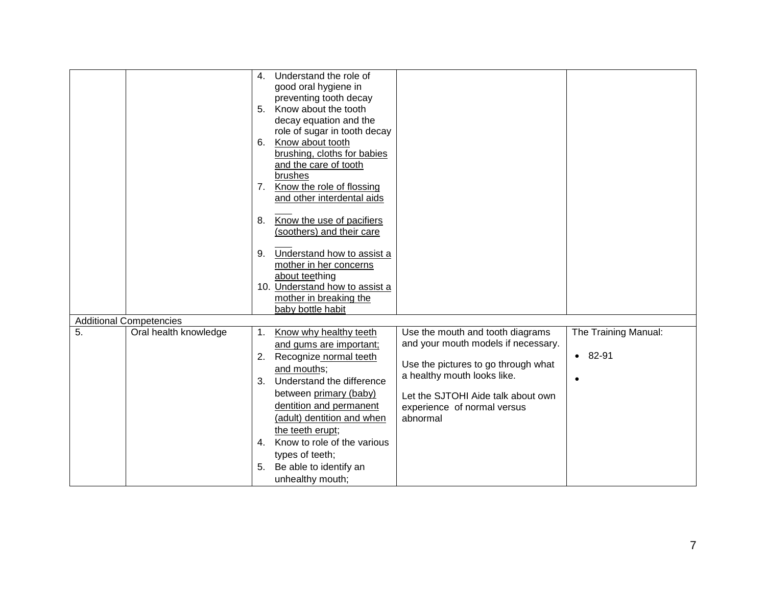|                  |                                | 4.             | Understand the role of                                 |                                     |                      |
|------------------|--------------------------------|----------------|--------------------------------------------------------|-------------------------------------|----------------------|
|                  |                                |                | good oral hygiene in                                   |                                     |                      |
|                  |                                |                | preventing tooth decay                                 |                                     |                      |
|                  |                                | 5 <sub>1</sub> | Know about the tooth                                   |                                     |                      |
|                  |                                |                | decay equation and the                                 |                                     |                      |
|                  |                                |                | role of sugar in tooth decay                           |                                     |                      |
|                  |                                | 6.             | Know about tooth                                       |                                     |                      |
|                  |                                |                | brushing, cloths for babies                            |                                     |                      |
|                  |                                |                | and the care of tooth                                  |                                     |                      |
|                  |                                |                | brushes                                                |                                     |                      |
|                  |                                | 7.             | Know the role of flossing                              |                                     |                      |
|                  |                                |                | and other interdental aids                             |                                     |                      |
|                  |                                | 8.             |                                                        |                                     |                      |
|                  |                                |                | Know the use of pacifiers<br>(soothers) and their care |                                     |                      |
|                  |                                |                |                                                        |                                     |                      |
|                  |                                | 9.             | Understand how to assist a                             |                                     |                      |
|                  |                                |                | mother in her concerns                                 |                                     |                      |
|                  |                                |                | about teething                                         |                                     |                      |
|                  |                                |                | 10. Understand how to assist a                         |                                     |                      |
|                  |                                |                | mother in breaking the                                 |                                     |                      |
|                  |                                |                | baby bottle habit                                      |                                     |                      |
|                  | <b>Additional Competencies</b> |                |                                                        |                                     |                      |
| $\overline{5}$ . | Oral health knowledge          | 1.             | Know why healthy teeth                                 | Use the mouth and tooth diagrams    | The Training Manual: |
|                  |                                |                | and gums are important;                                | and your mouth models if necessary. |                      |
|                  |                                | 2.             | Recognize normal teeth                                 |                                     | $• 82-91$            |
|                  |                                |                | and mouths;                                            | Use the pictures to go through what |                      |
|                  |                                | 3.             | Understand the difference                              | a healthy mouth looks like.         |                      |
|                  |                                |                | between primary (baby)                                 | Let the SJTOHI Aide talk about own  |                      |
|                  |                                |                | dentition and permanent                                | experience of normal versus         |                      |
|                  |                                |                | (adult) dentition and when                             | abnormal                            |                      |
|                  |                                |                | the teeth erupt;                                       |                                     |                      |
|                  |                                | $\mathbf{4}$ . | Know to role of the various                            |                                     |                      |
|                  |                                |                | types of teeth;                                        |                                     |                      |
|                  |                                | 5.             | Be able to identify an                                 |                                     |                      |
|                  |                                |                | unhealthy mouth;                                       |                                     |                      |
|                  |                                |                |                                                        |                                     |                      |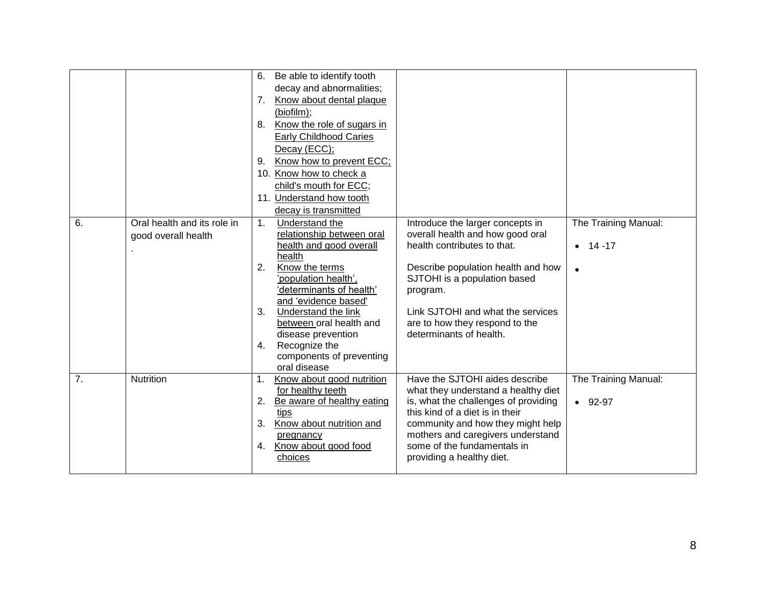|    |                             |                | 6. Be able to identify tooth                |                                                                  |                      |
|----|-----------------------------|----------------|---------------------------------------------|------------------------------------------------------------------|----------------------|
|    |                             |                | decay and abnormalities;                    |                                                                  |                      |
|    |                             | 7.             | Know about dental plaque                    |                                                                  |                      |
|    |                             |                | (biofilm);                                  |                                                                  |                      |
|    |                             | 8.             | Know the role of sugars in                  |                                                                  |                      |
|    |                             |                | <b>Early Childhood Caries</b>               |                                                                  |                      |
|    |                             |                | Decay (ECC);                                |                                                                  |                      |
|    |                             | 9.             | Know how to prevent ECC;                    |                                                                  |                      |
|    |                             |                | 10. Know how to check a                     |                                                                  |                      |
|    |                             |                | child's mouth for ECC;                      |                                                                  |                      |
|    |                             |                | 11. Understand how tooth                    |                                                                  |                      |
|    |                             |                | decay is transmitted                        |                                                                  |                      |
| 6. | Oral health and its role in | 1.             | Understand the                              | Introduce the larger concepts in                                 | The Training Manual: |
|    | good overall health         |                | relationship between oral                   | overall health and how good oral                                 |                      |
|    |                             |                | health and good overall                     | health contributes to that.                                      | 14 - 17<br>$\bullet$ |
|    |                             |                | health                                      |                                                                  |                      |
|    |                             | 2.             | Know the terms                              | Describe population health and how                               | $\bullet$            |
|    |                             |                | 'population health',                        | SJTOHI is a population based                                     |                      |
|    |                             |                | 'determinants of health'                    | program.                                                         |                      |
|    |                             | 3.             | and 'evidence based'<br>Understand the link | Link SJTOHI and what the services                                |                      |
|    |                             |                | between oral health and                     | are to how they respond to the                                   |                      |
|    |                             |                | disease prevention                          | determinants of health.                                          |                      |
|    |                             | 4.             | Recognize the                               |                                                                  |                      |
|    |                             |                | components of preventing                    |                                                                  |                      |
|    |                             |                | oral disease                                |                                                                  |                      |
| 7. | Nutrition                   | 1.             | Know about good nutrition                   | Have the SJTOHI aides describe                                   | The Training Manual: |
|    |                             |                | for healthy teeth                           | what they understand a healthy diet                              |                      |
|    |                             | 2.             | Be aware of healthy eating                  | is, what the challenges of providing                             | $-92-97$             |
|    |                             |                | tips                                        | this kind of a diet is in their                                  |                      |
|    |                             | 3 <sub>1</sub> | Know about nutrition and                    | community and how they might help                                |                      |
|    |                             |                | pregnancy                                   | mothers and caregivers understand<br>some of the fundamentals in |                      |
|    |                             | 4.             | Know about good food<br>choices             | providing a healthy diet.                                        |                      |
|    |                             |                |                                             |                                                                  |                      |
|    |                             |                |                                             |                                                                  |                      |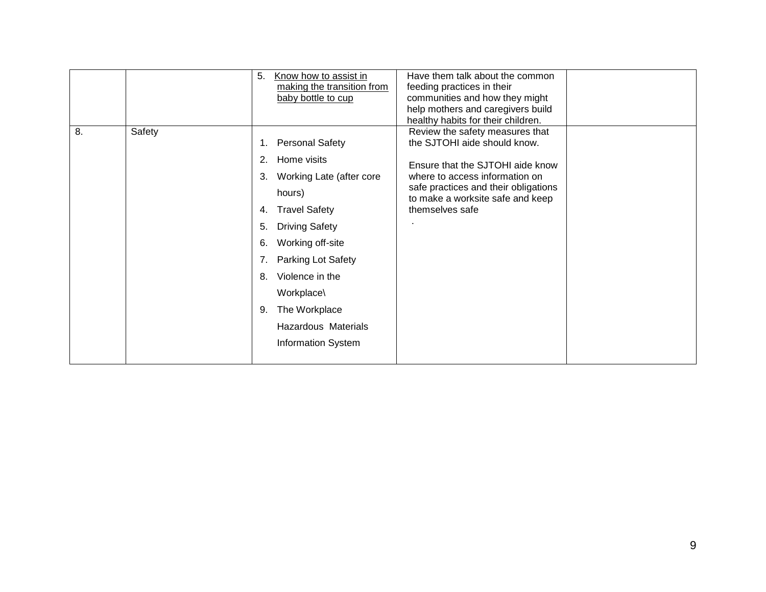|              | 5.<br>Know how to assist in<br>making the transition from<br>baby bottle to cup                                                                                                                                                                                                                                                    |                 | Have them talk about the common<br>feeding practices in their<br>communities and how they might<br>help mothers and caregivers build<br>healthy habits for their children.                                        |  |
|--------------|------------------------------------------------------------------------------------------------------------------------------------------------------------------------------------------------------------------------------------------------------------------------------------------------------------------------------------|-----------------|-------------------------------------------------------------------------------------------------------------------------------------------------------------------------------------------------------------------|--|
| 8.<br>Safety | <b>Personal Safety</b><br>1.<br>Home visits<br>2.<br>Working Late (after core<br>3.<br>hours)<br><b>Travel Safety</b><br>4.<br><b>Driving Safety</b><br>5.<br>Working off-site<br>6.<br>Parking Lot Safety<br>7.<br>Violence in the<br>8.<br>Workplace\<br>The Workplace<br>9.<br>Hazardous Materials<br><b>Information System</b> | themselves safe | Review the safety measures that<br>the SJTOHI aide should know.<br>Ensure that the SJTOHI aide know<br>where to access information on<br>safe practices and their obligations<br>to make a worksite safe and keep |  |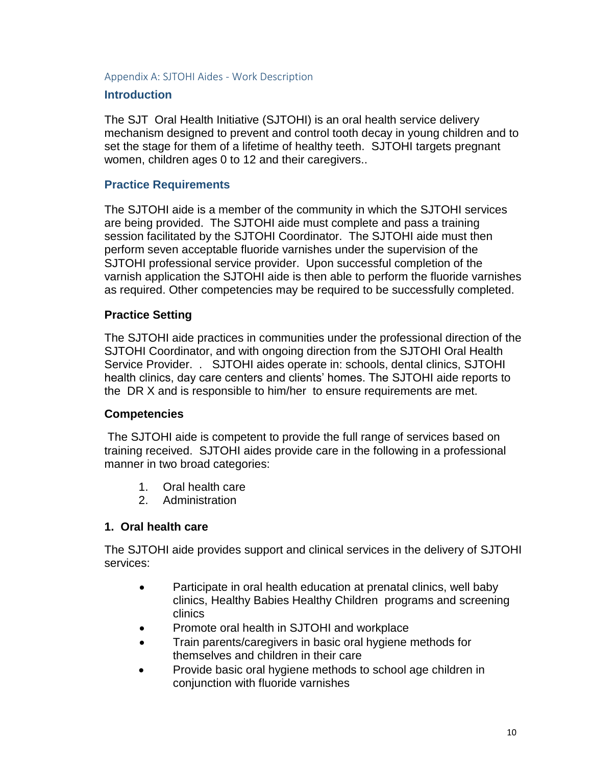Appendix A: SJTOHI Aides - Work Description

#### **Introduction**

The SJT Oral Health Initiative (SJTOHI) is an oral health service delivery mechanism designed to prevent and control tooth decay in young children and to set the stage for them of a lifetime of healthy teeth. SJTOHI targets pregnant women, children ages 0 to 12 and their caregivers..

#### **Practice Requirements**

The SJTOHI aide is a member of the community in which the SJTOHI services are being provided. The SJTOHI aide must complete and pass a training session facilitated by the SJTOHI Coordinator. The SJTOHI aide must then perform seven acceptable fluoride varnishes under the supervision of the SJTOHI professional service provider. Upon successful completion of the varnish application the SJTOHI aide is then able to perform the fluoride varnishes as required. Other competencies may be required to be successfully completed.

#### **Practice Setting**

The SJTOHI aide practices in communities under the professional direction of the SJTOHI Coordinator, and with ongoing direction from the SJTOHI Oral Health Service Provider. . SJTOHI aides operate in: schools, dental clinics, SJTOHI health clinics, day care centers and clients' homes. The SJTOHI aide reports to the DR X and is responsible to him/her to ensure requirements are met.

#### **Competencies**

The SJTOHI aide is competent to provide the full range of services based on training received. SJTOHI aides provide care in the following in a professional manner in two broad categories:

- 1. Oral health care
- 2. Administration

#### **1. Oral health care**

The SJTOHI aide provides support and clinical services in the delivery of SJTOHI services:

- Participate in oral health education at prenatal clinics, well baby clinics, Healthy Babies Healthy Children programs and screening clinics
- Promote oral health in SJTOHI and workplace
- Train parents/caregivers in basic oral hygiene methods for themselves and children in their care
- Provide basic oral hygiene methods to school age children in conjunction with fluoride varnishes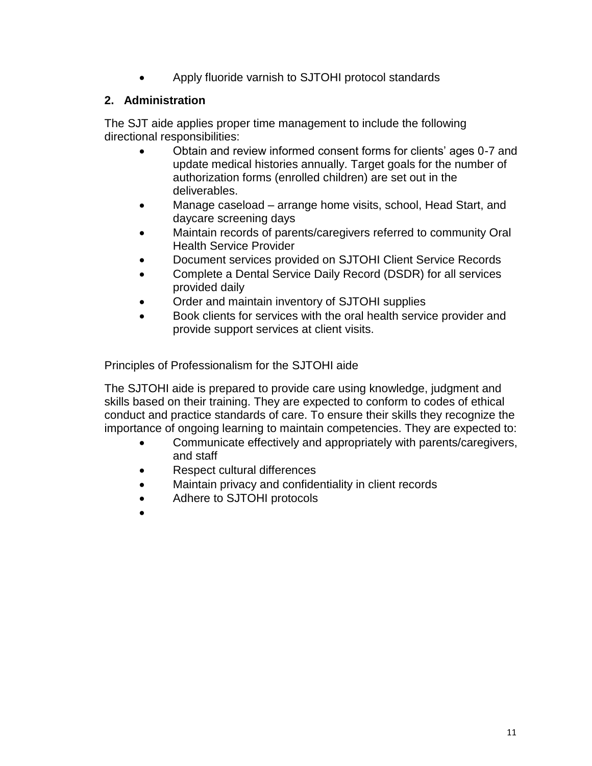• Apply fluoride varnish to SJTOHI protocol standards

## **2. Administration**

The SJT aide applies proper time management to include the following directional responsibilities:

- Obtain and review informed consent forms for clients' ages 0-7 and update medical histories annually. Target goals for the number of authorization forms (enrolled children) are set out in the deliverables.
- Manage caseload arrange home visits, school, Head Start, and daycare screening days
- Maintain records of parents/caregivers referred to community Oral Health Service Provider
- Document services provided on SJTOHI Client Service Records
- Complete a Dental Service Daily Record (DSDR) for all services provided daily
- Order and maintain inventory of SJTOHI supplies
- Book clients for services with the oral health service provider and provide support services at client visits.

Principles of Professionalism for the SJTOHI aide

The SJTOHI aide is prepared to provide care using knowledge, judgment and skills based on their training. They are expected to conform to codes of ethical conduct and practice standards of care. To ensure their skills they recognize the importance of ongoing learning to maintain competencies. They are expected to:

- Communicate effectively and appropriately with parents/caregivers, and staff
- Respect cultural differences
- Maintain privacy and confidentiality in client records
- Adhere to SJTOHI protocols
- •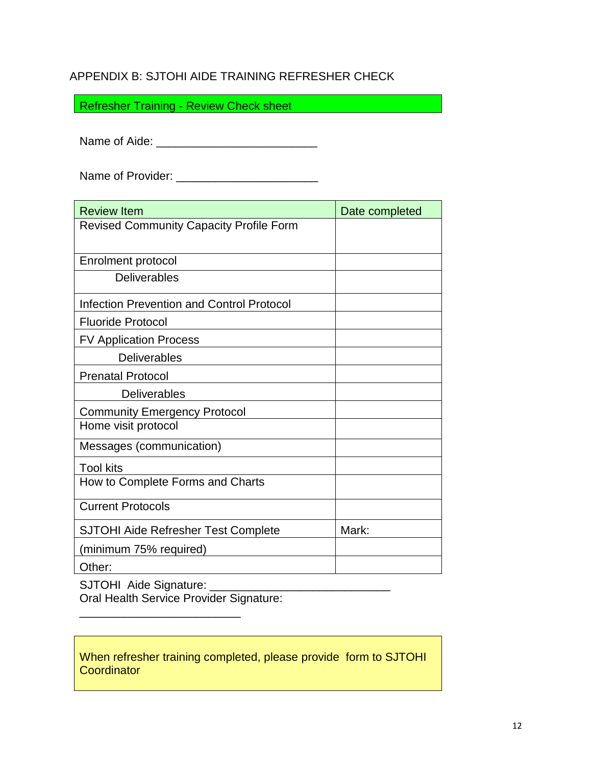# APPENDIX B: SJTOHI AIDE TRAINING REFRESHER CHECK

Refresher Training - Review Check sheet

Name of Aide: \_\_\_\_\_\_\_\_\_\_\_\_\_\_\_\_\_\_\_\_\_\_\_\_\_

Name of Provider: \_\_\_\_\_\_\_\_\_\_\_\_\_\_\_\_\_\_\_\_\_\_

| <b>Review Item</b>                             | Date completed |  |  |
|------------------------------------------------|----------------|--|--|
| <b>Revised Community Capacity Profile Form</b> |                |  |  |
|                                                |                |  |  |
| <b>Enrolment protocol</b>                      |                |  |  |
| <b>Deliverables</b>                            |                |  |  |
| Infection Prevention and Control Protocol      |                |  |  |
| <b>Fluoride Protocol</b>                       |                |  |  |
| <b>FV Application Process</b>                  |                |  |  |
| <b>Deliverables</b>                            |                |  |  |
| <b>Prenatal Protocol</b>                       |                |  |  |
| <b>Deliverables</b>                            |                |  |  |
| <b>Community Emergency Protocol</b>            |                |  |  |
| Home visit protocol                            |                |  |  |
| Messages (communication)                       |                |  |  |
| <b>Tool kits</b>                               |                |  |  |
| How to Complete Forms and Charts               |                |  |  |
| <b>Current Protocols</b>                       |                |  |  |
| <b>SJTOHI Aide Refresher Test Complete</b>     | Mark:          |  |  |
| (minimum 75% required)                         |                |  |  |
| Other:                                         |                |  |  |

SJTOHI Aide Signature: \_\_\_\_\_\_\_\_\_\_\_\_\_\_\_\_\_\_\_\_\_\_\_\_\_\_\_\_

Oral Health Service Provider Signature:

\_\_\_\_\_\_\_\_\_\_\_\_\_\_\_\_\_\_\_\_\_\_\_\_\_

When refresher training completed, please provide form to SJTOHI **Coordinator**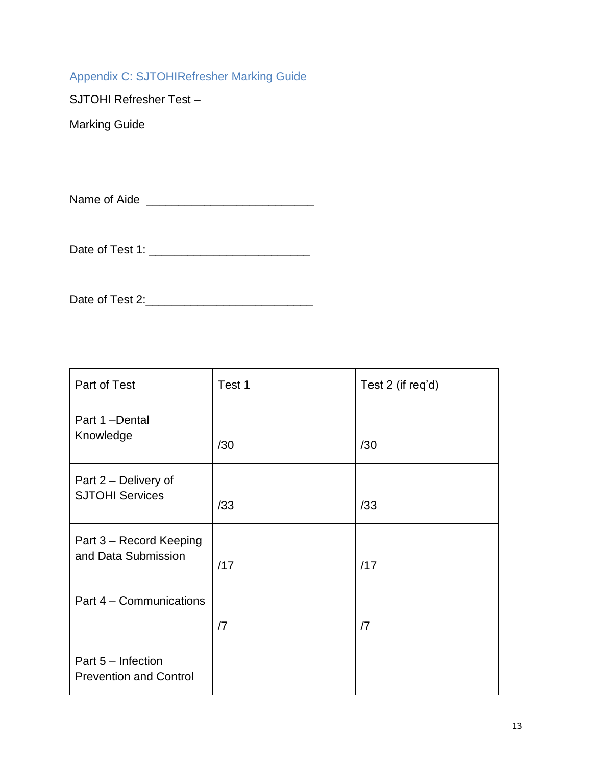# Appendix C: SJTOHIRefresher Marking Guide

SJTOHI Refresher Test –

Marking Guide

Name of Aide \_\_\_\_\_\_\_\_\_\_\_\_\_\_\_\_\_\_\_\_\_\_\_\_\_\_

Date of Test 1: \_\_\_\_\_\_\_\_\_\_\_\_\_\_\_\_\_\_\_\_\_\_\_\_\_

Date of Test 2:\_\_\_\_\_\_\_\_\_\_\_\_\_\_\_\_\_\_\_\_\_\_\_\_\_\_

| Part of Test                                        | Test 1     | Test 2 (if req'd) |
|-----------------------------------------------------|------------|-------------------|
| Part 1-Dental<br>Knowledge                          | /30        | /30               |
| Part 2 – Delivery of<br><b>SJTOHI Services</b>      | /33        | /33               |
| Part 3 – Record Keeping<br>and Data Submission      | /17        | /17               |
| Part 4 – Communications                             |            |                   |
|                                                     | $\sqrt{7}$ | $\sqrt{7}$        |
| Part 5 - Infection<br><b>Prevention and Control</b> |            |                   |